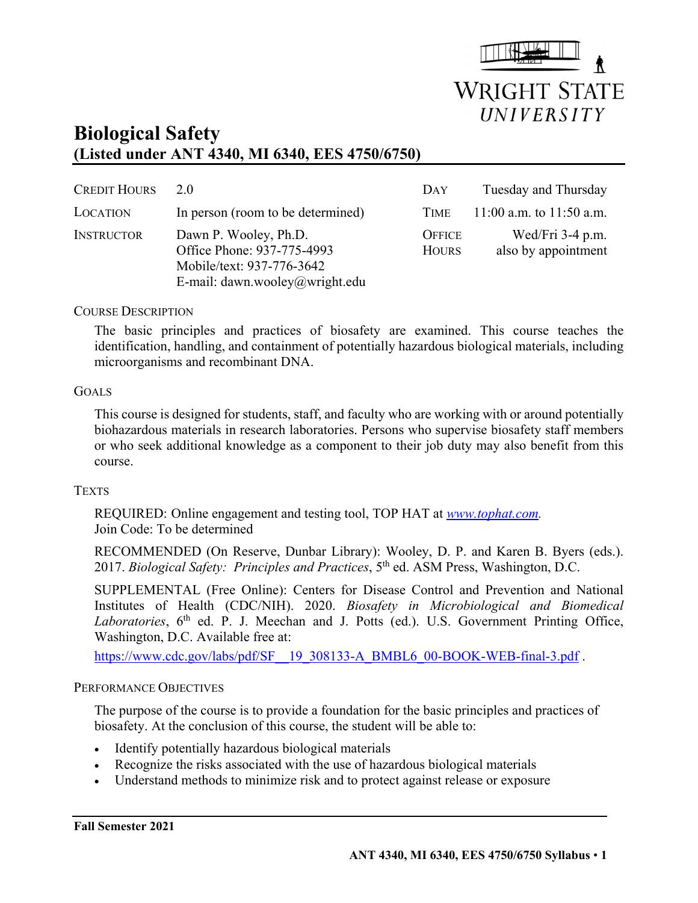

# **Biological Safety (Listed under ANT 4340, MI 6340, EES 4750/6750)**

| <b>CREDIT HOURS</b> | 2.0                                                                                                                | DAY                           | Tuesday and Thursday                    |  |
|---------------------|--------------------------------------------------------------------------------------------------------------------|-------------------------------|-----------------------------------------|--|
| LOCATION            | In person (room to be determined)                                                                                  | TIME <sup>1</sup>             | $11:00$ a.m. to $11:50$ a.m.            |  |
| <b>INSTRUCTOR</b>   | Dawn P. Wooley, Ph.D.<br>Office Phone: 937-775-4993<br>Mobile/text: 937-776-3642<br>E-mail: dawn.wooley@wright.edu | <b>OFFICE</b><br><b>HOURS</b> | Wed/Fri 3-4 p.m.<br>also by appointment |  |

#### COURSE DESCRIPTION

The basic principles and practices of biosafety are examined. This course teaches the identification, handling, and containment of potentially hazardous biological materials, including microorganisms and recombinant DNA.

#### **GOALS**

This course is designed for students, staff, and faculty who are working with or around potentially biohazardous materials in research laboratories. Persons who supervise biosafety staff members or who seek additional knowledge as a component to their job duty may also benefit from this course.

#### **TEXTS**

REQUIRED: Online engagement and testing tool, TOP HAT at *www.tophat.com.*  Join Code: To be determined

RECOMMENDED (On Reserve, Dunbar Library): Wooley, D. P. and Karen B. Byers (eds.). 2017. *Biological Safety: Principles and Practices*, 5<sup>th</sup> ed. ASM Press, Washington, D.C.

SUPPLEMENTAL (Free Online): Centers for Disease Control and Prevention and National Institutes of Health (CDC/NIH). 2020. *Biosafety in Microbiological and Biomedical*  Laboratories, 6<sup>th</sup> ed. P. J. Meechan and J. Potts (ed.). U.S. Government Printing Office, Washington, D.C. Available free at:

https://www.cdc.gov/labs/pdf/SF\_19\_308133-A\_BMBL6\_00-BOOK-WEB-final-3.pdf .

#### PERFORMANCE OBJECTIVES

The purpose of the course is to provide a foundation for the basic principles and practices of biosafety. At the conclusion of this course, the student will be able to:

- Identify potentially hazardous biological materials
- Recognize the risks associated with the use of hazardous biological materials
- Understand methods to minimize risk and to protect against release or exposure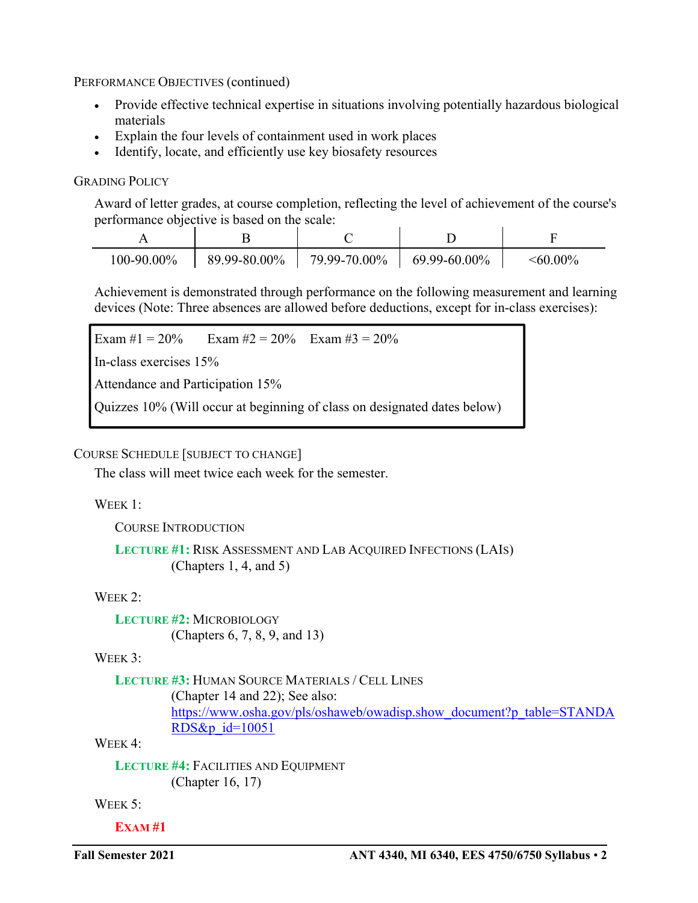PERFORMANCE OBJECTIVES (continued)

- Provide effective technical expertise in situations involving potentially hazardous biological materials
- Explain the four levels of containment used in work places
- Identify, locate, and efficiently use key biosafety resources

## GRADING POLICY

Award of letter grades, at course completion, reflecting the level of achievement of the course's performance objective is based on the scale:

| 100-90.00% | 89.99-80.00% | 79.99-70.00% | 69.99-60.00% | $\leq 60.00\%$ |
|------------|--------------|--------------|--------------|----------------|

Achievement is demonstrated through performance on the following measurement and learning devices (Note: Three absences are allowed before deductions, except for in-class exercises):

```
Exam #1 = 20% Exam #2 = 20% Exam #3 = 20%
```
In-class exercises 15%

Attendance and Participation 15%

Quizzes 10% (Will occur at beginning of class on designated dates below)

## COURSE SCHEDULE [SUBJECT TO CHANGE]

The class will meet twice each week for the semester.

## WEEK 1:

COURSE INTRODUCTION

```
LECTURE #1: RISK ASSESSMENT AND LAB ACQUIRED INFECTIONS (LAIS) 
  (Chapters 1, 4, and 5)
```
## WEEK 2:

**LECTURE #2:** MICROBIOLOGY (Chapters 6, 7, 8, 9, and 13)

# WEEK 3:

```
LECTURE #3: HUMAN SOURCE MATERIALS / CELL LINES
  (Chapter 14 and 22); See also: 
https://www.osha.gov/pls/oshaweb/owadisp.show_document?p_table=STANDA
RDS&p_id=10051
```
WEEK<sub>4</sub>:

**LECTURE #4:** FACILITIES AND EQUIPMENT (Chapter 16, 17)

WEEK 5:

**EXAM #1**